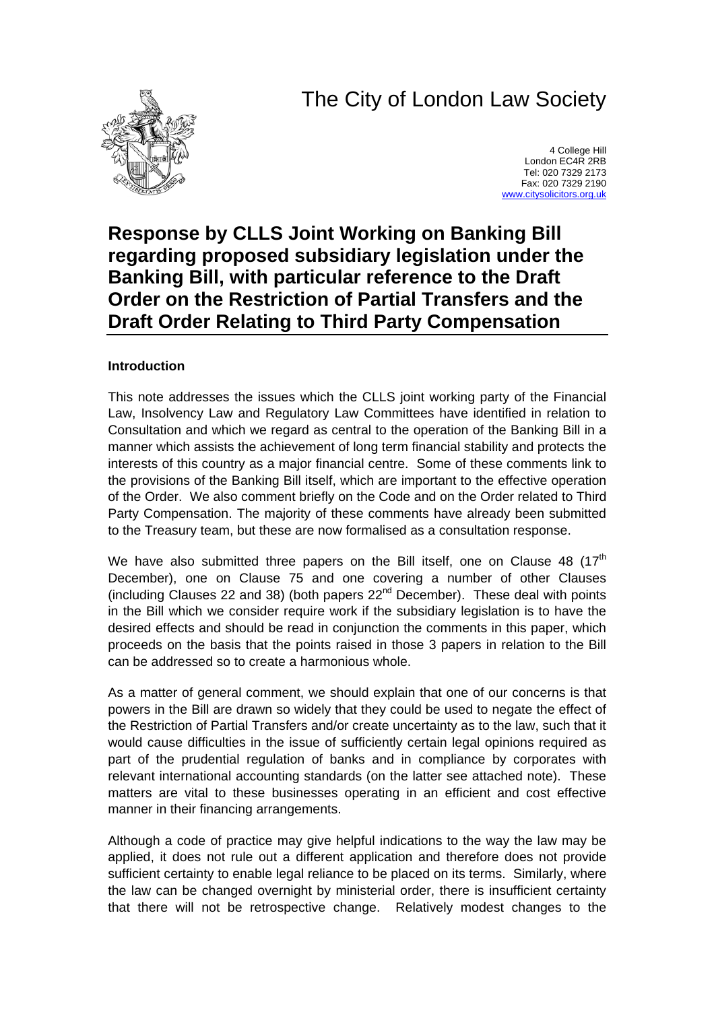# The City of London Law Society



4 College Hill London EC4R 2RB Tel: 020 7329 2173 Fax: 020 7329 2190 [www.citysolicitors.org.uk](http://www.citysolicitors.org.uk/)

# **Response by CLLS Joint Working on Banking Bill regarding proposed subsidiary legislation under the Banking Bill, with particular reference to the Draft Order on the Restriction of Partial Transfers and the Draft Order Relating to Third Party Compensation**

# **Introduction**

This note addresses the issues which the CLLS joint working party of the Financial Law, Insolvency Law and Regulatory Law Committees have identified in relation to Consultation and which we regard as central to the operation of the Banking Bill in a manner which assists the achievement of long term financial stability and protects the interests of this country as a major financial centre. Some of these comments link to the provisions of the Banking Bill itself, which are important to the effective operation of the Order. We also comment briefly on the Code and on the Order related to Third Party Compensation. The majority of these comments have already been submitted to the Treasury team, but these are now formalised as a consultation response.

We have also submitted three papers on the Bill itself, one on Clause 48  $(17<sup>th</sup>)$ December), one on Clause 75 and one covering a number of other Clauses (including Clauses 22 and 38) (both papers  $22<sup>nd</sup>$  December). These deal with points in the Bill which we consider require work if the subsidiary legislation is to have the desired effects and should be read in conjunction the comments in this paper, which proceeds on the basis that the points raised in those 3 papers in relation to the Bill can be addressed so to create a harmonious whole.

As a matter of general comment, we should explain that one of our concerns is that powers in the Bill are drawn so widely that they could be used to negate the effect of the Restriction of Partial Transfers and/or create uncertainty as to the law, such that it would cause difficulties in the issue of sufficiently certain legal opinions required as part of the prudential regulation of banks and in compliance by corporates with relevant international accounting standards (on the latter see attached note). These matters are vital to these businesses operating in an efficient and cost effective manner in their financing arrangements.

Although a code of practice may give helpful indications to the way the law may be applied, it does not rule out a different application and therefore does not provide sufficient certainty to enable legal reliance to be placed on its terms. Similarly, where the law can be changed overnight by ministerial order, there is insufficient certainty that there will not be retrospective change. Relatively modest changes to the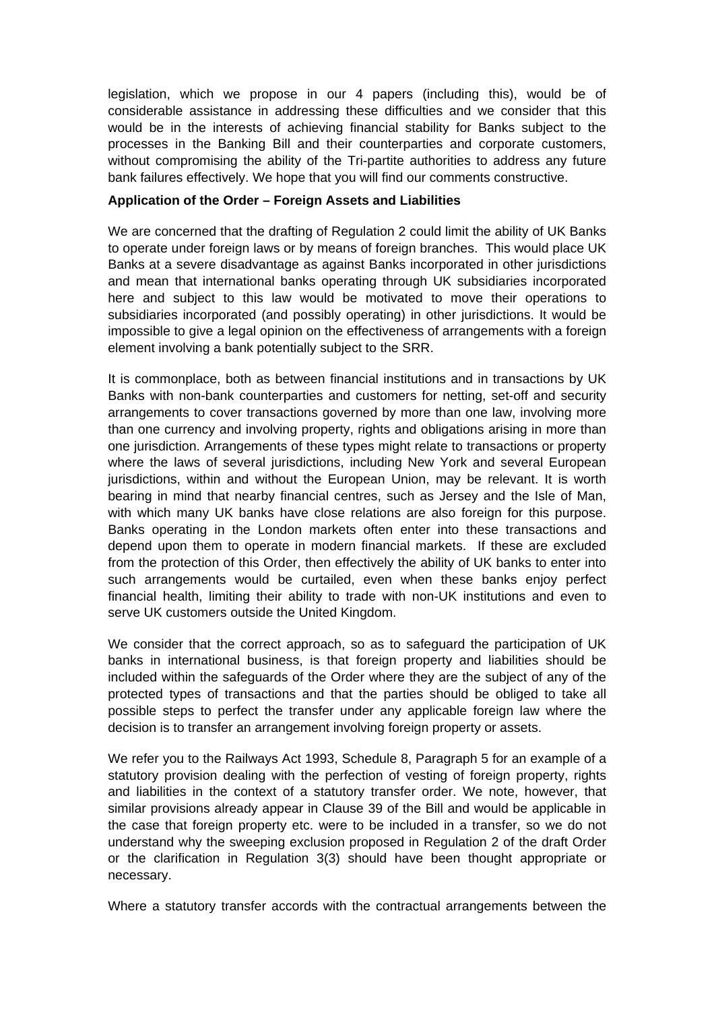legislation, which we propose in our 4 papers (including this), would be of considerable assistance in addressing these difficulties and we consider that this would be in the interests of achieving financial stability for Banks subject to the processes in the Banking Bill and their counterparties and corporate customers, without compromising the ability of the Tri-partite authorities to address any future bank failures effectively. We hope that you will find our comments constructive.

# **Application of the Order – Foreign Assets and Liabilities**

We are concerned that the drafting of Regulation 2 could limit the ability of UK Banks to operate under foreign laws or by means of foreign branches. This would place UK Banks at a severe disadvantage as against Banks incorporated in other jurisdictions and mean that international banks operating through UK subsidiaries incorporated here and subject to this law would be motivated to move their operations to subsidiaries incorporated (and possibly operating) in other jurisdictions. It would be impossible to give a legal opinion on the effectiveness of arrangements with a foreign element involving a bank potentially subject to the SRR.

It is commonplace, both as between financial institutions and in transactions by UK Banks with non-bank counterparties and customers for netting, set-off and security arrangements to cover transactions governed by more than one law, involving more than one currency and involving property, rights and obligations arising in more than one jurisdiction. Arrangements of these types might relate to transactions or property where the laws of several jurisdictions, including New York and several European jurisdictions, within and without the European Union, may be relevant. It is worth bearing in mind that nearby financial centres, such as Jersey and the Isle of Man, with which many UK banks have close relations are also foreign for this purpose. Banks operating in the London markets often enter into these transactions and depend upon them to operate in modern financial markets. If these are excluded from the protection of this Order, then effectively the ability of UK banks to enter into such arrangements would be curtailed, even when these banks enjoy perfect financial health, limiting their ability to trade with non-UK institutions and even to serve UK customers outside the United Kingdom.

We consider that the correct approach, so as to safeguard the participation of UK banks in international business, is that foreign property and liabilities should be included within the safeguards of the Order where they are the subject of any of the protected types of transactions and that the parties should be obliged to take all possible steps to perfect the transfer under any applicable foreign law where the decision is to transfer an arrangement involving foreign property or assets.

We refer you to the Railways Act 1993, Schedule 8, Paragraph 5 for an example of a statutory provision dealing with the perfection of vesting of foreign property, rights and liabilities in the context of a statutory transfer order. We note, however, that similar provisions already appear in Clause 39 of the Bill and would be applicable in the case that foreign property etc. were to be included in a transfer, so we do not understand why the sweeping exclusion proposed in Regulation 2 of the draft Order or the clarification in Regulation 3(3) should have been thought appropriate or necessary.

Where a statutory transfer accords with the contractual arrangements between the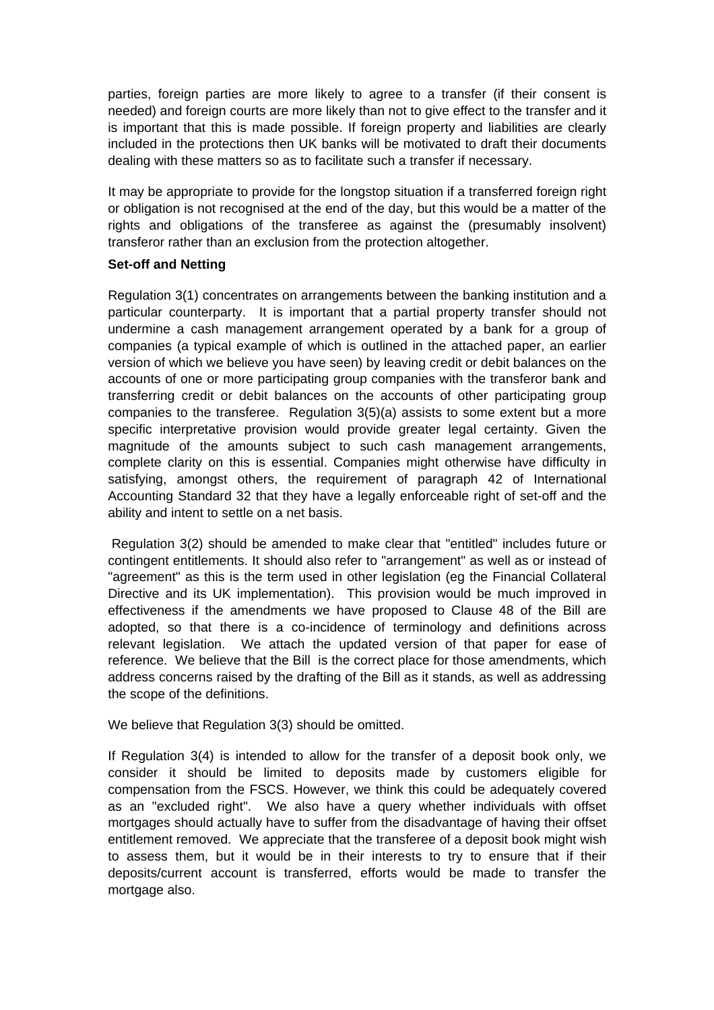parties, foreign parties are more likely to agree to a transfer (if their consent is needed) and foreign courts are more likely than not to give effect to the transfer and it is important that this is made possible. If foreign property and liabilities are clearly included in the protections then UK banks will be motivated to draft their documents dealing with these matters so as to facilitate such a transfer if necessary.

It may be appropriate to provide for the longstop situation if a transferred foreign right or obligation is not recognised at the end of the day, but this would be a matter of the rights and obligations of the transferee as against the (presumably insolvent) transferor rather than an exclusion from the protection altogether.

# **Set-off and Netting**

Regulation 3(1) concentrates on arrangements between the banking institution and a particular counterparty. It is important that a partial property transfer should not undermine a cash management arrangement operated by a bank for a group of companies (a typical example of which is outlined in the attached paper, an earlier version of which we believe you have seen) by leaving credit or debit balances on the accounts of one or more participating group companies with the transferor bank and transferring credit or debit balances on the accounts of other participating group companies to the transferee. Regulation 3(5)(a) assists to some extent but a more specific interpretative provision would provide greater legal certainty. Given the magnitude of the amounts subject to such cash management arrangements, complete clarity on this is essential. Companies might otherwise have difficulty in satisfying, amongst others, the requirement of paragraph 42 of International Accounting Standard 32 that they have a legally enforceable right of set-off and the ability and intent to settle on a net basis.

 Regulation 3(2) should be amended to make clear that "entitled" includes future or contingent entitlements. It should also refer to "arrangement" as well as or instead of "agreement" as this is the term used in other legislation (eg the Financial Collateral Directive and its UK implementation). This provision would be much improved in effectiveness if the amendments we have proposed to Clause 48 of the Bill are adopted, so that there is a co-incidence of terminology and definitions across relevant legislation. We attach the updated version of that paper for ease of reference. We believe that the Bill is the correct place for those amendments, which address concerns raised by the drafting of the Bill as it stands, as well as addressing the scope of the definitions.

We believe that Regulation 3(3) should be omitted.

If Regulation 3(4) is intended to allow for the transfer of a deposit book only, we consider it should be limited to deposits made by customers eligible for compensation from the FSCS. However, we think this could be adequately covered as an "excluded right". We also have a query whether individuals with offset mortgages should actually have to suffer from the disadvantage of having their offset entitlement removed. We appreciate that the transferee of a deposit book might wish to assess them, but it would be in their interests to try to ensure that if their deposits/current account is transferred, efforts would be made to transfer the mortgage also.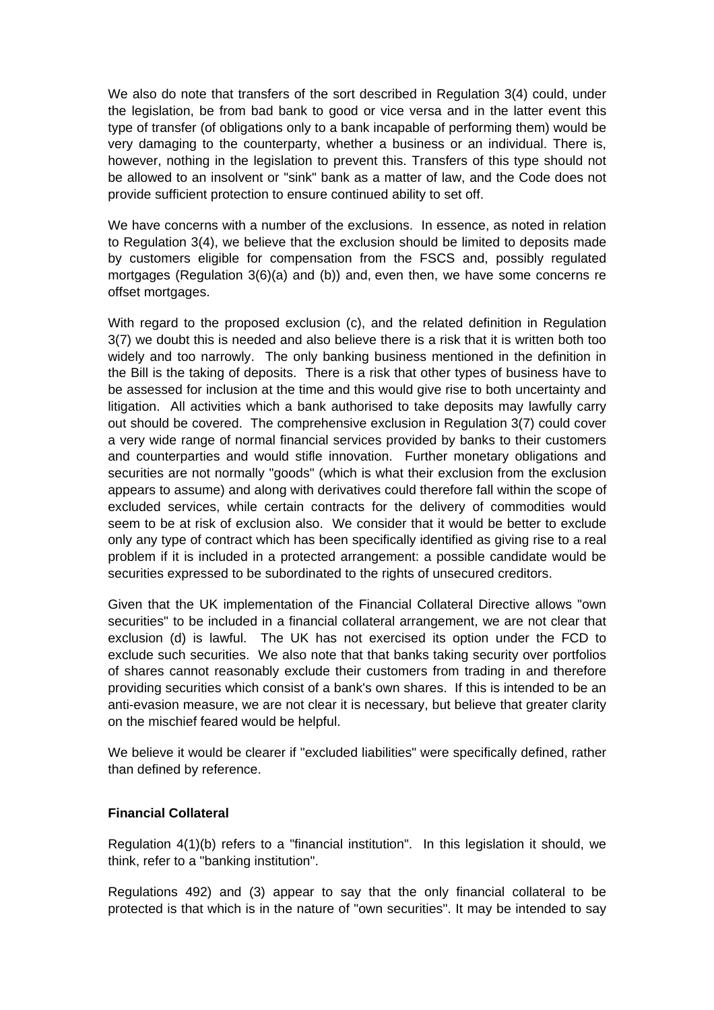We also do note that transfers of the sort described in Regulation 3(4) could, under the legislation, be from bad bank to good or vice versa and in the latter event this type of transfer (of obligations only to a bank incapable of performing them) would be very damaging to the counterparty, whether a business or an individual. There is, however, nothing in the legislation to prevent this. Transfers of this type should not be allowed to an insolvent or "sink" bank as a matter of law, and the Code does not provide sufficient protection to ensure continued ability to set off.

We have concerns with a number of the exclusions. In essence, as noted in relation to Regulation 3(4), we believe that the exclusion should be limited to deposits made by customers eligible for compensation from the FSCS and, possibly regulated mortgages (Regulation 3(6)(a) and (b)) and, even then, we have some concerns re offset mortgages.

With regard to the proposed exclusion (c), and the related definition in Regulation 3(7) we doubt this is needed and also believe there is a risk that it is written both too widely and too narrowly. The only banking business mentioned in the definition in the Bill is the taking of deposits. There is a risk that other types of business have to be assessed for inclusion at the time and this would give rise to both uncertainty and litigation. All activities which a bank authorised to take deposits may lawfully carry out should be covered. The comprehensive exclusion in Regulation 3(7) could cover a very wide range of normal financial services provided by banks to their customers and counterparties and would stifle innovation. Further monetary obligations and securities are not normally "goods" (which is what their exclusion from the exclusion appears to assume) and along with derivatives could therefore fall within the scope of excluded services, while certain contracts for the delivery of commodities would seem to be at risk of exclusion also. We consider that it would be better to exclude only any type of contract which has been specifically identified as giving rise to a real problem if it is included in a protected arrangement: a possible candidate would be securities expressed to be subordinated to the rights of unsecured creditors.

Given that the UK implementation of the Financial Collateral Directive allows "own securities" to be included in a financial collateral arrangement, we are not clear that exclusion (d) is lawful. The UK has not exercised its option under the FCD to exclude such securities. We also note that that banks taking security over portfolios of shares cannot reasonably exclude their customers from trading in and therefore providing securities which consist of a bank's own shares. If this is intended to be an anti-evasion measure, we are not clear it is necessary, but believe that greater clarity on the mischief feared would be helpful.

We believe it would be clearer if "excluded liabilities" were specifically defined, rather than defined by reference.

# **Financial Collateral**

Regulation 4(1)(b) refers to a "financial institution". In this legislation it should, we think, refer to a "banking institution".

Regulations 492) and (3) appear to say that the only financial collateral to be protected is that which is in the nature of "own securities". It may be intended to say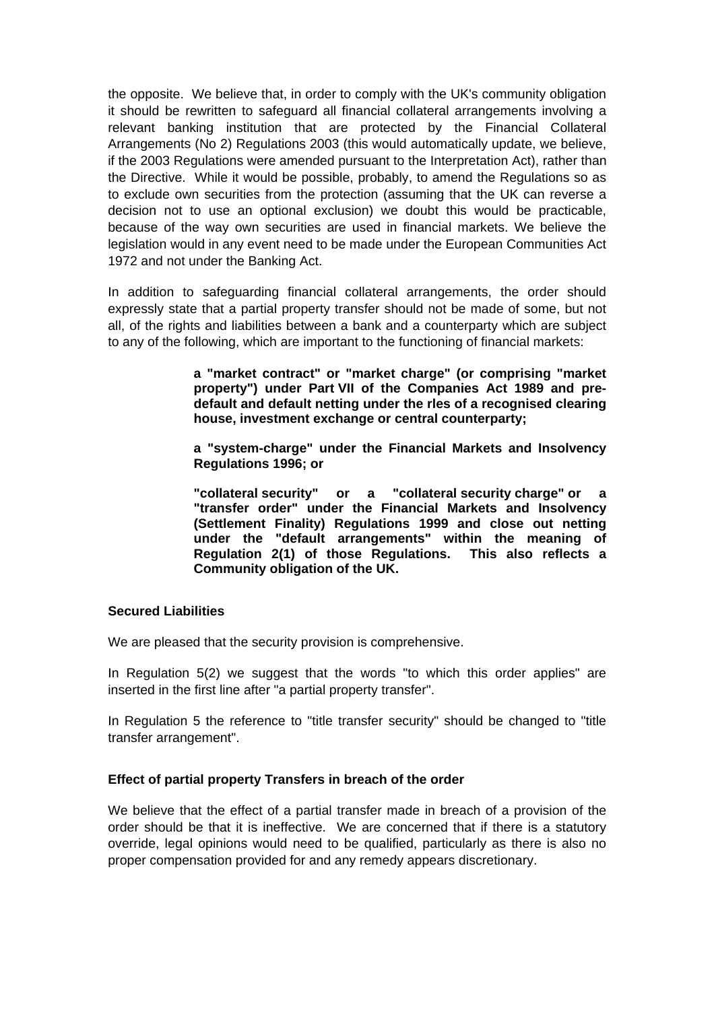the opposite. We believe that, in order to comply with the UK's community obligation it should be rewritten to safeguard all financial collateral arrangements involving a relevant banking institution that are protected by the Financial Collateral Arrangements (No 2) Regulations 2003 (this would automatically update, we believe, if the 2003 Regulations were amended pursuant to the Interpretation Act), rather than the Directive. While it would be possible, probably, to amend the Regulations so as to exclude own securities from the protection (assuming that the UK can reverse a decision not to use an optional exclusion) we doubt this would be practicable, because of the way own securities are used in financial markets. We believe the legislation would in any event need to be made under the European Communities Act 1972 and not under the Banking Act.

In addition to safeguarding financial collateral arrangements, the order should expressly state that a partial property transfer should not be made of some, but not all, of the rights and liabilities between a bank and a counterparty which are subject to any of the following, which are important to the functioning of financial markets:

> **a "market contract" or "market charge" (or comprising "market property") under Part VII of the Companies Act 1989 and predefault and default netting under the rles of a recognised clearing house, investment exchange or central counterparty;**

> **a "system-charge" under the Financial Markets and Insolvency Regulations 1996; or**

> **"collateral security" or a "collateral security charge" or a "transfer order" under the Financial Markets and Insolvency (Settlement Finality) Regulations 1999 and close out netting under the "default arrangements" within the meaning of Regulation 2(1) of those Regulations. This also reflects a Community obligation of the UK.**

#### **Secured Liabilities**

We are pleased that the security provision is comprehensive.

In Regulation 5(2) we suggest that the words "to which this order applies" are inserted in the first line after "a partial property transfer".

In Regulation 5 the reference to "title transfer security" should be changed to "title transfer arrangement".

# **Effect of partial property Transfers in breach of the order**

We believe that the effect of a partial transfer made in breach of a provision of the order should be that it is ineffective. We are concerned that if there is a statutory override, legal opinions would need to be qualified, particularly as there is also no proper compensation provided for and any remedy appears discretionary.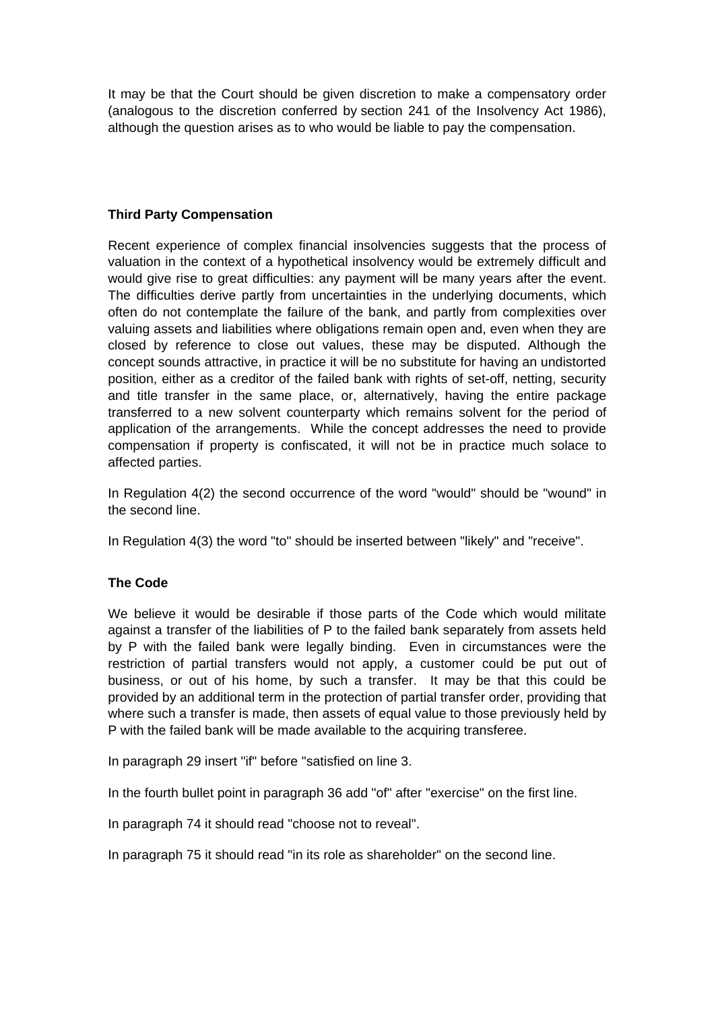It may be that the Court should be given discretion to make a compensatory order (analogous to the discretion conferred by section 241 of the Insolvency Act 1986), although the question arises as to who would be liable to pay the compensation.

# **Third Party Compensation**

Recent experience of complex financial insolvencies suggests that the process of valuation in the context of a hypothetical insolvency would be extremely difficult and would give rise to great difficulties: any payment will be many years after the event. The difficulties derive partly from uncertainties in the underlying documents, which often do not contemplate the failure of the bank, and partly from complexities over valuing assets and liabilities where obligations remain open and, even when they are closed by reference to close out values, these may be disputed. Although the concept sounds attractive, in practice it will be no substitute for having an undistorted position, either as a creditor of the failed bank with rights of set-off, netting, security and title transfer in the same place, or, alternatively, having the entire package transferred to a new solvent counterparty which remains solvent for the period of application of the arrangements. While the concept addresses the need to provide compensation if property is confiscated, it will not be in practice much solace to affected parties.

In Regulation 4(2) the second occurrence of the word "would" should be "wound" in the second line.

In Regulation 4(3) the word "to" should be inserted between "likely" and "receive".

# **The Code**

We believe it would be desirable if those parts of the Code which would militate against a transfer of the liabilities of P to the failed bank separately from assets held by P with the failed bank were legally binding. Even in circumstances were the restriction of partial transfers would not apply, a customer could be put out of business, or out of his home, by such a transfer. It may be that this could be provided by an additional term in the protection of partial transfer order, providing that where such a transfer is made, then assets of equal value to those previously held by P with the failed bank will be made available to the acquiring transferee.

In paragraph 29 insert "if" before "satisfied on line 3.

In the fourth bullet point in paragraph 36 add "of" after "exercise" on the first line.

In paragraph 74 it should read "choose not to reveal".

In paragraph 75 it should read "in its role as shareholder" on the second line.